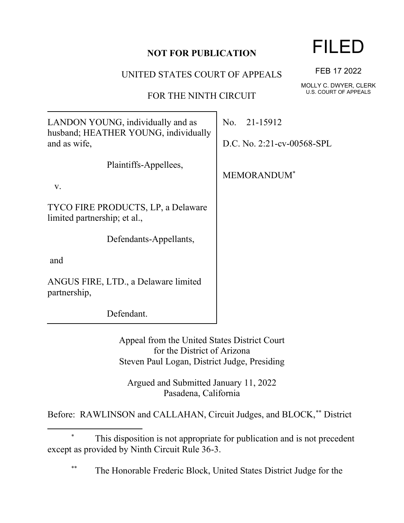## **NOT FOR PUBLICATION**

UNITED STATES COURT OF APPEALS

FOR THE NINTH CIRCUIT

LANDON YOUNG, individually and as husband; HEATHER YOUNG, individually and as wife,

Plaintiffs-Appellees,

v.

TYCO FIRE PRODUCTS, LP, a Delaware limited partnership; et al.,

Defendants-Appellants,

and

ANGUS FIRE, LTD., a Delaware limited partnership,

Defendant.

Appeal from the United States District Court for the District of Arizona Steven Paul Logan, District Judge, Presiding

Argued and Submitted January 11, 2022 Pasadena, California

Before: RAWLINSON and CALLAHAN, Circuit Judges, and BLOCK,\*\* District

The Honorable Frederic Block, United States District Judge for the

## FILED

FEB 17 2022

MOLLY C. DWYER, CLERK U.S. COURT OF APPEALS

No. 21-15912

D.C. No. 2:21-cv-00568-SPL

MEMORANDUM\*

This disposition is not appropriate for publication and is not precedent except as provided by Ninth Circuit Rule 36-3.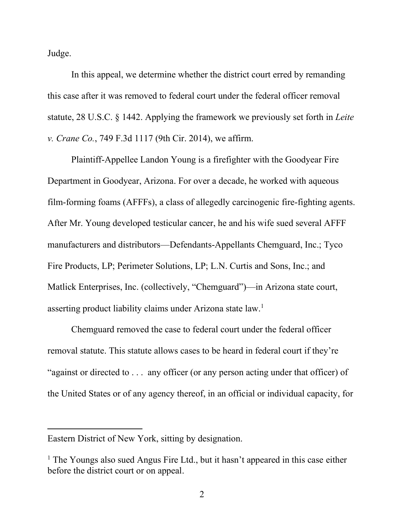Judge.

In this appeal, we determine whether the district court erred by remanding this case after it was removed to federal court under the federal officer removal statute, 28 U.S.C. § 1442. Applying the framework we previously set forth in *Leite v. Crane Co.*, 749 F.3d 1117 (9th Cir. 2014), we affirm.

Plaintiff-Appellee Landon Young is a firefighter with the Goodyear Fire Department in Goodyear, Arizona. For over a decade, he worked with aqueous film-forming foams (AFFFs), a class of allegedly carcinogenic fire-fighting agents. After Mr. Young developed testicular cancer, he and his wife sued several AFFF manufacturers and distributors—Defendants-Appellants Chemguard, Inc.; Tyco Fire Products, LP; Perimeter Solutions, LP; L.N. Curtis and Sons, Inc.; and Matlick Enterprises, Inc. (collectively, "Chemguard")—in Arizona state court, asserting product liability claims under Arizona state law.<sup>1</sup>

Chemguard removed the case to federal court under the federal officer removal statute. This statute allows cases to be heard in federal court if they're "against or directed to . . . any officer (or any person acting under that officer) of the United States or of any agency thereof, in an official or individual capacity, for

Eastern District of New York, sitting by designation.

<sup>&</sup>lt;sup>1</sup> The Youngs also sued Angus Fire Ltd., but it hasn't appeared in this case either before the district court or on appeal.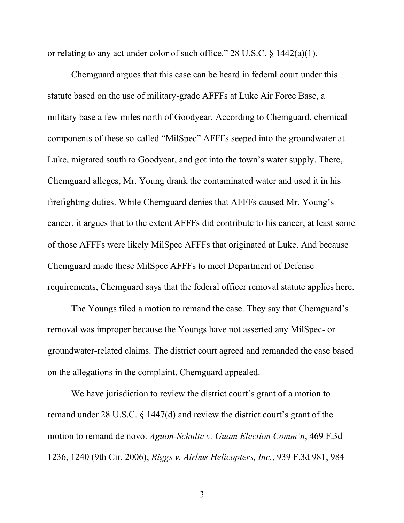or relating to any act under color of such office." 28 U.S.C. § 1442(a)(1).

Chemguard argues that this case can be heard in federal court under this statute based on the use of military-grade AFFFs at Luke Air Force Base, a military base a few miles north of Goodyear. According to Chemguard, chemical components of these so-called "MilSpec" AFFFs seeped into the groundwater at Luke, migrated south to Goodyear, and got into the town's water supply. There, Chemguard alleges, Mr. Young drank the contaminated water and used it in his firefighting duties. While Chemguard denies that AFFFs caused Mr. Young's cancer, it argues that to the extent AFFFs did contribute to his cancer, at least some of those AFFFs were likely MilSpec AFFFs that originated at Luke. And because Chemguard made these MilSpec AFFFs to meet Department of Defense requirements, Chemguard says that the federal officer removal statute applies here.

The Youngs filed a motion to remand the case. They say that Chemguard's removal was improper because the Youngs have not asserted any MilSpec- or groundwater-related claims. The district court agreed and remanded the case based on the allegations in the complaint. Chemguard appealed.

We have jurisdiction to review the district court's grant of a motion to remand under 28 U.S.C. § 1447(d) and review the district court's grant of the motion to remand de novo. *Aguon-Schulte v. Guam Election Comm'n*, 469 F.3d 1236, 1240 (9th Cir. 2006); *Riggs v. Airbus Helicopters, Inc.*, 939 F.3d 981, 984

3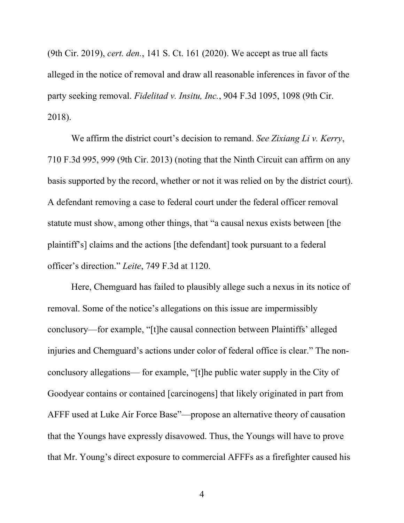(9th Cir. 2019), *cert. den.*, 141 S. Ct. 161 (2020). We accept as true all facts alleged in the notice of removal and draw all reasonable inferences in favor of the party seeking removal. *Fidelitad v. Insitu, Inc.*, 904 F.3d 1095, 1098 (9th Cir. 2018).

We affirm the district court's decision to remand. *See Zixiang Li v. Kerry*, 710 F.3d 995, 999 (9th Cir. 2013) (noting that the Ninth Circuit can affirm on any basis supported by the record, whether or not it was relied on by the district court). A defendant removing a case to federal court under the federal officer removal statute must show, among other things, that "a causal nexus exists between [the plaintiff's] claims and the actions [the defendant] took pursuant to a federal officer's direction." *Leite*, 749 F.3d at 1120.

Here, Chemguard has failed to plausibly allege such a nexus in its notice of removal. Some of the notice's allegations on this issue are impermissibly conclusory—for example, "[t]he causal connection between Plaintiffs' alleged injuries and Chemguard's actions under color of federal office is clear." The nonconclusory allegations— for example, "[t]he public water supply in the City of Goodyear contains or contained [carcinogens] that likely originated in part from AFFF used at Luke Air Force Base"—propose an alternative theory of causation that the Youngs have expressly disavowed. Thus, the Youngs will have to prove that Mr. Young's direct exposure to commercial AFFFs as a firefighter caused his